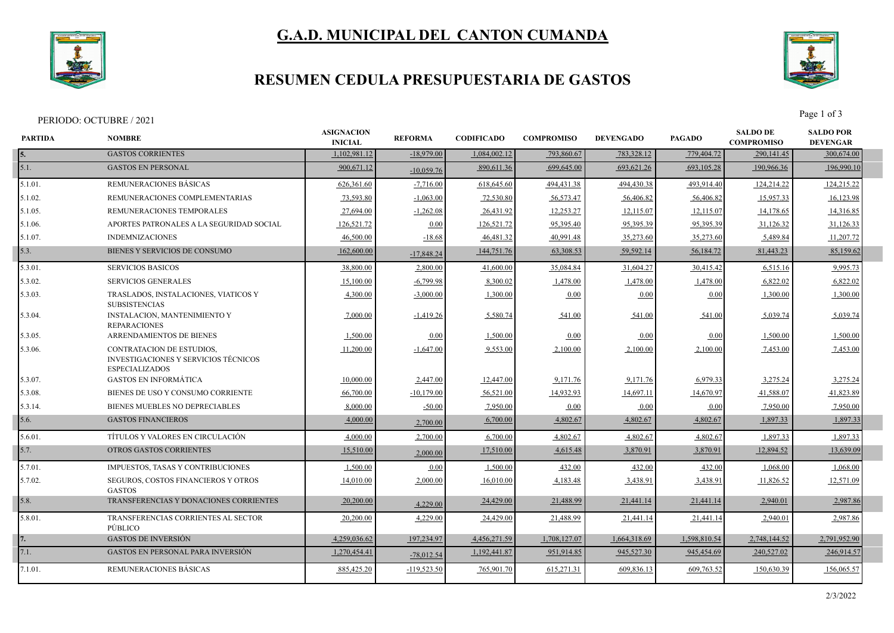

# **G.A.D. MUNICIPAL DEL CANTON CUMANDA**

### **RESUMEN CEDULA PRESUPUESTARIA DE GASTOS**



Page 1 of 3<br>Page 1 of 3

| <b>PARTIDA</b> | <b>NOMBRE</b>                                                                                     |              | <b>REFORMA</b> | <b>CODIFICADO</b> | <b>COMPROMISO</b> | <b>DEVENGADO</b> | <b>PAGADO</b> | <b>SALDO DE</b><br><b>COMPROMISO</b> | <b>SALDO POR</b><br><b>DEVENGAR</b> |  |
|----------------|---------------------------------------------------------------------------------------------------|--------------|----------------|-------------------|-------------------|------------------|---------------|--------------------------------------|-------------------------------------|--|
| 5.             | <b>GASTOS CORRIENTES</b>                                                                          | 1,102,981.12 | $-18,979.00$   | 1,084,002.12      | 793,860.67        | 783,328.12       | 779,404.72    | 290,141.45                           | 300,674.00                          |  |
| 5.1.           | <b>GASTOS EN PERSONAL</b>                                                                         | 900,671.12   | $-10,059.76$   | 890,611.36        | 699,645.00        | 693,621.26       | 693,105.28    | 190,966.36                           | 196,990.10                          |  |
| 5.1.01.        | REMUNERACIONES BÁSICAS                                                                            | 626,361.60   | $-7,716.00$    | 618,645.60        | 494,431.38        | 494,430.38       | 493,914.40    | 124,214.22                           | 124,215.22                          |  |
| 5.1.02.        | REMUNERACIONES COMPLEMENTARIAS                                                                    | 73,593.80    | $-1,063.00$    | 72,530.80         | 56,573.47         | 56,406.82        | 56,406.82     | 15,957.33                            | 16,123.98                           |  |
| 5.1.05.        | REMUNERACIONES TEMPORALES                                                                         | 27,694.00    | $-1,262.08$    | 26,431.92         | 12,253.27         | 12,115.07        | 12,115.07     | 14,178.65                            | 14,316.85                           |  |
| 5.1.06.        | APORTES PATRONALES A LA SEGURIDAD SOCIAL                                                          | 126,521.72   | 0.00           | 126,521.72        | 95,395.40         | 95,395.39        | 95,395.39     | 31,126.32                            | 31,126.33                           |  |
| 5.1.07.        | <b>INDEMNIZACIONES</b>                                                                            | 46,500.00    | $-18.68$       | 46,481.32         | 40,991.48         | 35,273.60        | 35,273.60     | 5,489.84                             | 11,207.72                           |  |
| 5.3.           | BIENES Y SERVICIOS DE CONSUMO                                                                     | 162,600.00   | $-17,848.24$   | 144,751.76        | 63,308.53         | 59,592.14        | 56,184.72     | 81,443.23                            | 85,159.62                           |  |
| 5.3.01.        | <b>SERVICIOS BASICOS</b>                                                                          | 38,800.00    | 2,800.00       | 41,600.00         | 35,084.84         | 31,604.27        | 30,415.42     | 6,515.16                             | 9,995.73                            |  |
| 5.3.02.        | <b>SERVICIOS GENERALES</b>                                                                        | 15,100.00    | $-6,799.98$    | 8,300.02          | 1,478.00          | 1,478.00         | 1,478.00      | 6,822.02                             | 6,822.02                            |  |
| 5.3.03.        | TRASLADOS, INSTALACIONES, VIATICOS Y<br><b>SUBSISTENCIAS</b>                                      | 4,300.00     | $-3,000.00$    | 1,300.00          | 0.00              | 0.00             | 0.00          | 1,300.00                             | 1,300.00                            |  |
| 5.3.04.        | <b>INSTALACION, MANTENIMIENTO Y</b><br><b>REPARACIONES</b>                                        | 7,000.00     | $-1,419.26$    | 5,580.74          | 541.00            | 541.00           | 541.00        | 5,039.74                             | 5,039.74                            |  |
| 5.3.05.        | <b>ARRENDAMIENTOS DE BIENES</b>                                                                   | 1,500.00     | 0.00           | 1,500.00          | 0.00              | 0.00             | 0.00          | 1,500.00                             | 1,500.00                            |  |
| 5.3.06.        | CONTRATACION DE ESTUDIOS,<br><b>INVESTIGACIONES Y SERVICIOS TÉCNICOS</b><br><b>ESPECIALIZADOS</b> | 11,200.00    | $-1,647.00$    | 9,553.00          | 2,100.00          | 2,100.00         | 2,100.00      | 7,453.00                             | 7,453.00                            |  |
| 5.3.07.        | <b>GASTOS EN INFORMÁTICA</b>                                                                      | 10,000.00    | 2,447.00       | 12,447.00         | 9,171.76          | 9,171.76         | 6,979.33      | 3,275.24                             | 3,275.24                            |  |
| 5.3.08.        | BIENES DE USO Y CONSUMO CORRIENTE                                                                 | 66,700.00    | $-10,179.00$   | 56,521.00         | 14,932.93         | 14,697.11        | 14,670.97     | 41,588.07                            | 41,823.89                           |  |
| 5.3.14.        | BIENES MUEBLES NO DEPRECIABLES                                                                    | 8,000.00     | $-50.00$       | 7,950.00          | 0.00              | 0.00             | 0.00          | 7,950.00                             | 7,950.00                            |  |
| 5.6.           | <b>GASTOS FINANCIEROS</b>                                                                         | 4,000.00     | 2,700.00       | 6,700.00          | 4,802.67          | 4,802.67         | 4,802.67      | 1,897.33                             | 1,897.33                            |  |
| 5.6.01.        | TÍTULOS Y VALORES EN CIRCULACIÓN                                                                  | 4,000.00     | 2,700.00       | 6,700.00          | 4,802.67          | 4,802.67         | 4,802.67      | 1.897.33                             | 1,897.33                            |  |
| 5.7.           | <b>OTROS GASTOS CORRIENTES</b>                                                                    | 15,510.00    | 2,000.00       | 17,510.00         | 4,615.48          | 3,870.91         | 3,870.91      | 12,894.52                            | 13,639.09                           |  |
| 5.7.01.        | IMPUESTOS, TASAS Y CONTRIBUCIONES                                                                 | 1,500.00     | 0.00           | 1,500.00          | 432.00            | 432.00           | 432.00        | 1,068.00                             | 1,068.00                            |  |
| 5.7.02.        | <b>SEGUROS, COSTOS FINANCIEROS Y OTROS</b><br><b>GASTOS</b>                                       | 14,010.00    | 2,000.00       | 16,010.00         | 4,183.48          | 3,438.91         | 3,438.91      | 11,826.52                            | 12,571.09                           |  |
| 5.8.           | TRANSFERENCIAS Y DONACIONES CORRIENTES                                                            | 20,200.00    | 4,229.00       | 24,429.00         | 21,488.99         | 21,441.14        | 21,441.14     | 2,940.01                             | 2,987.86                            |  |
| 5.8.01.        | TRANSFERENCIAS CORRIENTES AL SECTOR<br>PÚBLICO                                                    | 20,200.00    | 4,229.00       | 24,429.00         | 21,488.99         | 21,441.14        | 21,441.14     | 2,940.01                             | 2,987.86                            |  |
|                | <b>GASTOS DE INVERSIÓN</b>                                                                        | 4.259,036.62 | 197,234.97     | 4,456,271.59      | 1,708,127.07      | 1,664,318.69     | 1,598,810.54  | 2.748.144.52                         | 2,791,952.90                        |  |
| 7.1.           | <b>GASTOS EN PERSONAL PARA INVERSIÓN</b>                                                          | 1,270,454.41 | $-78,012.54$   | 1,192,441.87      | 951,914.85        | 945,527.30       | 945,454.69    | 240,527.02                           | 246,914.57                          |  |
| 7.1.01.        | REMUNERACIONES BASICAS                                                                            | 885,425.20   | $-119,523.50$  | 765,901.70        | 615,271.31        | 609,836.13       | 609,763.52    | 150,630.39                           | 156,065.57                          |  |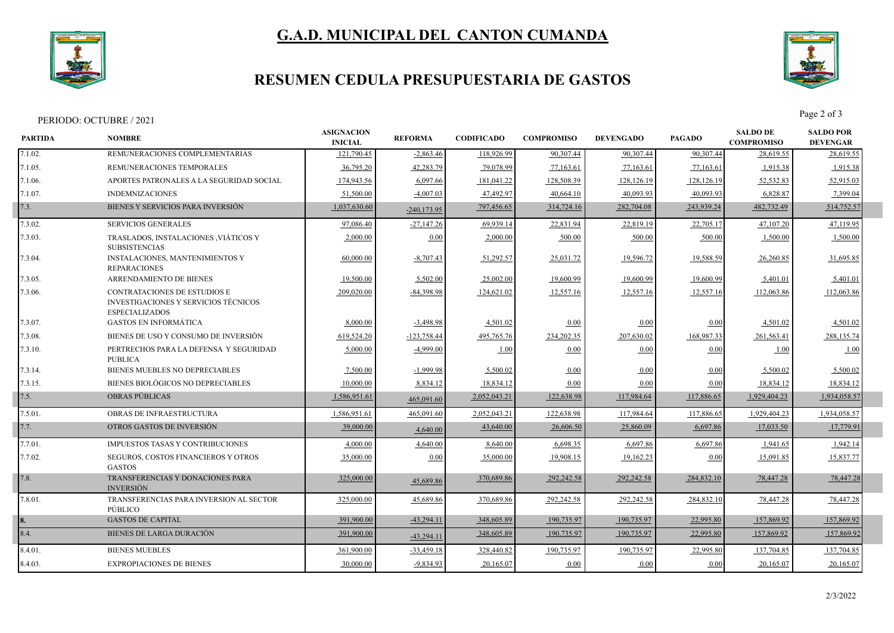

# **G.A.D. MUNICIPAL DEL CANTON CUMANDA**

### **RESUMEN CEDULA PRESUPUESTARIA DE GASTOS**



Page 2 of 3<br>Page 2 of 3

| REMUNERACIONES COMPLEMENTARIAS<br>121,790.45<br>118,926.99<br>90,307.44<br>90,307.44<br>28,619.55<br>$-2,863.46$<br>90,307.44<br>28,619.55<br>REMUNERACIONES TEMPORALES<br>36,795.20<br>42,283.79<br>1,915.38<br>79,078.99<br>77,163.61<br>77,163.61<br>77,163.61<br>1,915.38<br>174,943.56<br>6,097.66<br>128,508.39<br>128,126.19<br>52,532.83<br>52,915.03<br>APORTES PATRONALES A LA SEGURIDAD SOCIAL<br>181,041.22<br>128,126.19<br>40.093.93<br><b>INDEMNIZACIONES</b><br>51,500.00<br>$-4,007.03$<br>47,492.97<br>40,664.10<br>40,093.93<br>6,828.87<br>7,399.04<br>BIENES Y SERVICIOS PARA INVERSIÓN<br>1,037,630.60<br>314,724.16<br>282,704.08<br>243,939.24<br>482,732.49<br>514,752.57<br>797,456.65<br>$-240,173.95$<br><b>SERVICIOS GENERALES</b><br>97,086.40<br>$-27,147.26$<br>69,939.1<br>22,831.94<br>22,819.19<br>22,705.1<br>47,107.20<br>47,119.95<br>TRASLADOS, INSTALACIONES , VIÁTICOS Y<br>7.3.03.<br>2,000.00<br>0.00<br>2,000.00<br>500.00<br>500.00<br>500.00<br>1,500.00<br>1,500.00<br><b>SUBSISTENCIAS</b><br>60,000.00<br>$-8,707.43$<br>51,292.57<br>19,596.72<br>19,588.59<br>26,260.85<br><b>INSTALACIONES, MANTENIMIENTOS Y</b><br>25,031.72<br>31,695.85<br><b>REPARACIONES</b><br>ARRENDAMIENTO DE BIENES<br>5,502.00<br>19,600.99<br>7.3.05.<br>19,500.00<br>25,002.00<br>19,600.99<br>19,600.99<br>5,401.01<br>5,401.01<br>209,020.00<br>12,557.16<br>12,557.16<br>12,557.16<br>112,063.86<br><b>CONTRATACIONES DE ESTUDIOS E</b><br>$-84.398.98$<br>124,621.02<br>112,063.86<br>INVESTIGACIONES Y SERVICIOS TÉCNICOS<br><b>ESPECIALIZADOS</b><br><b>GASTOS EN INFORMÁTICA</b><br>8,000.00<br>4,501.02<br>$-3,498.98$<br>4,501.02<br>0.00<br>0.00<br>0.00<br>4,501.02<br>BIENES DE USO Y CONSUMO DE INVERSIÓN<br>619,524.20<br>$-123,758.44$<br>234,202.35<br>207,630.02<br>168,987.33<br>495,765.76<br>261,563.41<br>288,135.74<br>PERTRECHOS PARA LA DEFENSA Y SEGURIDAD<br>5,000.00<br>$-4,999.00$<br>0.00<br>0.00<br>1.00<br>1.00<br>0.00<br>1.00<br><b>PUBLICA</b><br>BIENES MUEBLES NO DEPRECIABLES<br>7,500.00<br>$-1,999.98$<br>5,500.02<br>5,500.02<br>5,500.02<br>0.00<br>0.00<br>0.00<br>BIENES BIOLÓGICOS NO DEPRECIABLES<br>10,000.00<br>8,834.12<br>18,834.12<br>0.00<br>18,834.12<br>18,834.12<br>0.00<br>0.00<br><b>OBRAS PUBLICAS</b><br>1,586,951.61<br>2,052,043.21<br>122,638.98<br>117,984.64<br>117,886.65<br>1,929,404.23<br>1,934,058.57<br>465,091.60<br>OBRAS DE INFRAESTRUCTURA<br>2,052,043.21<br>122,638.98<br>117,886.65<br>1,929,404.23<br>1,934,058.57<br>1,586,951.61<br>465,091.60<br>117,984.64<br>OTROS GASTOS DE INVERSIÓN<br>25,860.09<br>6,697.86<br>17,033.50<br>17,779.91<br>39,000.00<br>43,640.00<br>26,606.50<br>4,640.00<br><b>IMPUESTOS TASAS Y CONTRIBUCIONES</b><br>4,000.00<br>6,697.86<br>1,942.14<br>4,640.00<br>8,640.00<br>6,698.35<br>6,697.86<br>1,941.65<br>7.7.02.<br>SEGUROS, COSTOS FINANCIEROS Y OTROS<br>35,000.00<br>0.00<br>35,000.00<br>19,908.15<br>19,162.23<br>15,837.77<br>0.00<br>15,091.85<br><b>GASTOS</b><br>TRANSFERENCIAS Y DONACIONES PARA<br>292,242.58<br>292,242.58<br>78,447.28<br>78,447.28<br>325,000.00<br>370,689.86<br>284,832.10<br>45,689.86<br><b>INVERSIÓN</b><br>78,447.28<br>TRANSFERENCIAS PARA INVERSION AL SECTOR<br>325,000.00<br>45,689.86<br>370,689.86<br>292,242.58<br>292,242.58<br>284,832.10<br>78,447.28<br>PÚBLICO<br><b>GASTOS DE CAPITAL</b><br>391,900.00<br>348,605.89<br>190,735.97<br>190,735.97<br>22,995.80<br>157,869.92<br>157,869.92<br>$-43,294.11$<br><b>BIENES DE LARGA DURACIÓN</b><br>391,900.00<br>348,605.89<br>190,735.97<br>190,735.97<br>22,995.80<br>157,869.92<br>157,869.92<br>$-43,294.11$<br><b>BIENES MUEBLES</b><br>361,900.00<br>$-33,459.18$<br>328,440.82<br>190,735.97<br>190,735.97<br>22,995.80<br>137,704.85<br>137,704.85<br><b>EXPROPIACIONES DE BIENES</b><br>$-9,834.93$<br>20,165.07<br>30,000.00<br>20,165.07<br>0.00<br>0.00<br>0.00<br>20,165.07 | <b>PARTIDA</b> | <b>NOMBRE</b> |  | <b>REFORMA</b> | <b>CODIFICADO</b> | <b>COMPROMISO</b> | <b>DEVENGADO</b> | <b>PAGADO</b> | <b>SALDO DE</b><br><b>COMPROMISO</b> | <b>SALDO POR</b><br><b>DEVENGAR</b> |  |
|---------------------------------------------------------------------------------------------------------------------------------------------------------------------------------------------------------------------------------------------------------------------------------------------------------------------------------------------------------------------------------------------------------------------------------------------------------------------------------------------------------------------------------------------------------------------------------------------------------------------------------------------------------------------------------------------------------------------------------------------------------------------------------------------------------------------------------------------------------------------------------------------------------------------------------------------------------------------------------------------------------------------------------------------------------------------------------------------------------------------------------------------------------------------------------------------------------------------------------------------------------------------------------------------------------------------------------------------------------------------------------------------------------------------------------------------------------------------------------------------------------------------------------------------------------------------------------------------------------------------------------------------------------------------------------------------------------------------------------------------------------------------------------------------------------------------------------------------------------------------------------------------------------------------------------------------------------------------------------------------------------------------------------------------------------------------------------------------------------------------------------------------------------------------------------------------------------------------------------------------------------------------------------------------------------------------------------------------------------------------------------------------------------------------------------------------------------------------------------------------------------------------------------------------------------------------------------------------------------------------------------------------------------------------------------------------------------------------------------------------------------------------------------------------------------------------------------------------------------------------------------------------------------------------------------------------------------------------------------------------------------------------------------------------------------------------------------------------------------------------------------------------------------------------------------------------------------------------------------------------------------------------------------------------------------------------------------------------------------------------------------------------------------------------------------------------------------------------------------------------------------------------------------------------------------------------------------------------------------------------------------------------------------------------------------------------------------------------------------------------------------------------------------------------------------------------------------------------------------------------------------------------------------------------------------------------|----------------|---------------|--|----------------|-------------------|-------------------|------------------|---------------|--------------------------------------|-------------------------------------|--|
|                                                                                                                                                                                                                                                                                                                                                                                                                                                                                                                                                                                                                                                                                                                                                                                                                                                                                                                                                                                                                                                                                                                                                                                                                                                                                                                                                                                                                                                                                                                                                                                                                                                                                                                                                                                                                                                                                                                                                                                                                                                                                                                                                                                                                                                                                                                                                                                                                                                                                                                                                                                                                                                                                                                                                                                                                                                                                                                                                                                                                                                                                                                                                                                                                                                                                                                                                                                                                                                                                                                                                                                                                                                                                                                                                                                                                                                                                                                                             | 7.1.02.        |               |  |                |                   |                   |                  |               |                                      |                                     |  |
|                                                                                                                                                                                                                                                                                                                                                                                                                                                                                                                                                                                                                                                                                                                                                                                                                                                                                                                                                                                                                                                                                                                                                                                                                                                                                                                                                                                                                                                                                                                                                                                                                                                                                                                                                                                                                                                                                                                                                                                                                                                                                                                                                                                                                                                                                                                                                                                                                                                                                                                                                                                                                                                                                                                                                                                                                                                                                                                                                                                                                                                                                                                                                                                                                                                                                                                                                                                                                                                                                                                                                                                                                                                                                                                                                                                                                                                                                                                                             | 7.1.05.        |               |  |                |                   |                   |                  |               |                                      |                                     |  |
|                                                                                                                                                                                                                                                                                                                                                                                                                                                                                                                                                                                                                                                                                                                                                                                                                                                                                                                                                                                                                                                                                                                                                                                                                                                                                                                                                                                                                                                                                                                                                                                                                                                                                                                                                                                                                                                                                                                                                                                                                                                                                                                                                                                                                                                                                                                                                                                                                                                                                                                                                                                                                                                                                                                                                                                                                                                                                                                                                                                                                                                                                                                                                                                                                                                                                                                                                                                                                                                                                                                                                                                                                                                                                                                                                                                                                                                                                                                                             | 7.1.06.        |               |  |                |                   |                   |                  |               |                                      |                                     |  |
|                                                                                                                                                                                                                                                                                                                                                                                                                                                                                                                                                                                                                                                                                                                                                                                                                                                                                                                                                                                                                                                                                                                                                                                                                                                                                                                                                                                                                                                                                                                                                                                                                                                                                                                                                                                                                                                                                                                                                                                                                                                                                                                                                                                                                                                                                                                                                                                                                                                                                                                                                                                                                                                                                                                                                                                                                                                                                                                                                                                                                                                                                                                                                                                                                                                                                                                                                                                                                                                                                                                                                                                                                                                                                                                                                                                                                                                                                                                                             | 7.1.07.        |               |  |                |                   |                   |                  |               |                                      |                                     |  |
|                                                                                                                                                                                                                                                                                                                                                                                                                                                                                                                                                                                                                                                                                                                                                                                                                                                                                                                                                                                                                                                                                                                                                                                                                                                                                                                                                                                                                                                                                                                                                                                                                                                                                                                                                                                                                                                                                                                                                                                                                                                                                                                                                                                                                                                                                                                                                                                                                                                                                                                                                                                                                                                                                                                                                                                                                                                                                                                                                                                                                                                                                                                                                                                                                                                                                                                                                                                                                                                                                                                                                                                                                                                                                                                                                                                                                                                                                                                                             | 7.3.           |               |  |                |                   |                   |                  |               |                                      |                                     |  |
|                                                                                                                                                                                                                                                                                                                                                                                                                                                                                                                                                                                                                                                                                                                                                                                                                                                                                                                                                                                                                                                                                                                                                                                                                                                                                                                                                                                                                                                                                                                                                                                                                                                                                                                                                                                                                                                                                                                                                                                                                                                                                                                                                                                                                                                                                                                                                                                                                                                                                                                                                                                                                                                                                                                                                                                                                                                                                                                                                                                                                                                                                                                                                                                                                                                                                                                                                                                                                                                                                                                                                                                                                                                                                                                                                                                                                                                                                                                                             | 7.3.02.        |               |  |                |                   |                   |                  |               |                                      |                                     |  |
|                                                                                                                                                                                                                                                                                                                                                                                                                                                                                                                                                                                                                                                                                                                                                                                                                                                                                                                                                                                                                                                                                                                                                                                                                                                                                                                                                                                                                                                                                                                                                                                                                                                                                                                                                                                                                                                                                                                                                                                                                                                                                                                                                                                                                                                                                                                                                                                                                                                                                                                                                                                                                                                                                                                                                                                                                                                                                                                                                                                                                                                                                                                                                                                                                                                                                                                                                                                                                                                                                                                                                                                                                                                                                                                                                                                                                                                                                                                                             |                |               |  |                |                   |                   |                  |               |                                      |                                     |  |
|                                                                                                                                                                                                                                                                                                                                                                                                                                                                                                                                                                                                                                                                                                                                                                                                                                                                                                                                                                                                                                                                                                                                                                                                                                                                                                                                                                                                                                                                                                                                                                                                                                                                                                                                                                                                                                                                                                                                                                                                                                                                                                                                                                                                                                                                                                                                                                                                                                                                                                                                                                                                                                                                                                                                                                                                                                                                                                                                                                                                                                                                                                                                                                                                                                                                                                                                                                                                                                                                                                                                                                                                                                                                                                                                                                                                                                                                                                                                             | 7.3.04.        |               |  |                |                   |                   |                  |               |                                      |                                     |  |
|                                                                                                                                                                                                                                                                                                                                                                                                                                                                                                                                                                                                                                                                                                                                                                                                                                                                                                                                                                                                                                                                                                                                                                                                                                                                                                                                                                                                                                                                                                                                                                                                                                                                                                                                                                                                                                                                                                                                                                                                                                                                                                                                                                                                                                                                                                                                                                                                                                                                                                                                                                                                                                                                                                                                                                                                                                                                                                                                                                                                                                                                                                                                                                                                                                                                                                                                                                                                                                                                                                                                                                                                                                                                                                                                                                                                                                                                                                                                             |                |               |  |                |                   |                   |                  |               |                                      |                                     |  |
|                                                                                                                                                                                                                                                                                                                                                                                                                                                                                                                                                                                                                                                                                                                                                                                                                                                                                                                                                                                                                                                                                                                                                                                                                                                                                                                                                                                                                                                                                                                                                                                                                                                                                                                                                                                                                                                                                                                                                                                                                                                                                                                                                                                                                                                                                                                                                                                                                                                                                                                                                                                                                                                                                                                                                                                                                                                                                                                                                                                                                                                                                                                                                                                                                                                                                                                                                                                                                                                                                                                                                                                                                                                                                                                                                                                                                                                                                                                                             | 7.3.06.        |               |  |                |                   |                   |                  |               |                                      |                                     |  |
|                                                                                                                                                                                                                                                                                                                                                                                                                                                                                                                                                                                                                                                                                                                                                                                                                                                                                                                                                                                                                                                                                                                                                                                                                                                                                                                                                                                                                                                                                                                                                                                                                                                                                                                                                                                                                                                                                                                                                                                                                                                                                                                                                                                                                                                                                                                                                                                                                                                                                                                                                                                                                                                                                                                                                                                                                                                                                                                                                                                                                                                                                                                                                                                                                                                                                                                                                                                                                                                                                                                                                                                                                                                                                                                                                                                                                                                                                                                                             | 7.3.07.        |               |  |                |                   |                   |                  |               |                                      |                                     |  |
|                                                                                                                                                                                                                                                                                                                                                                                                                                                                                                                                                                                                                                                                                                                                                                                                                                                                                                                                                                                                                                                                                                                                                                                                                                                                                                                                                                                                                                                                                                                                                                                                                                                                                                                                                                                                                                                                                                                                                                                                                                                                                                                                                                                                                                                                                                                                                                                                                                                                                                                                                                                                                                                                                                                                                                                                                                                                                                                                                                                                                                                                                                                                                                                                                                                                                                                                                                                                                                                                                                                                                                                                                                                                                                                                                                                                                                                                                                                                             | 7.3.08.        |               |  |                |                   |                   |                  |               |                                      |                                     |  |
|                                                                                                                                                                                                                                                                                                                                                                                                                                                                                                                                                                                                                                                                                                                                                                                                                                                                                                                                                                                                                                                                                                                                                                                                                                                                                                                                                                                                                                                                                                                                                                                                                                                                                                                                                                                                                                                                                                                                                                                                                                                                                                                                                                                                                                                                                                                                                                                                                                                                                                                                                                                                                                                                                                                                                                                                                                                                                                                                                                                                                                                                                                                                                                                                                                                                                                                                                                                                                                                                                                                                                                                                                                                                                                                                                                                                                                                                                                                                             | 7.3.10.        |               |  |                |                   |                   |                  |               |                                      |                                     |  |
|                                                                                                                                                                                                                                                                                                                                                                                                                                                                                                                                                                                                                                                                                                                                                                                                                                                                                                                                                                                                                                                                                                                                                                                                                                                                                                                                                                                                                                                                                                                                                                                                                                                                                                                                                                                                                                                                                                                                                                                                                                                                                                                                                                                                                                                                                                                                                                                                                                                                                                                                                                                                                                                                                                                                                                                                                                                                                                                                                                                                                                                                                                                                                                                                                                                                                                                                                                                                                                                                                                                                                                                                                                                                                                                                                                                                                                                                                                                                             | 7.3.14.        |               |  |                |                   |                   |                  |               |                                      |                                     |  |
|                                                                                                                                                                                                                                                                                                                                                                                                                                                                                                                                                                                                                                                                                                                                                                                                                                                                                                                                                                                                                                                                                                                                                                                                                                                                                                                                                                                                                                                                                                                                                                                                                                                                                                                                                                                                                                                                                                                                                                                                                                                                                                                                                                                                                                                                                                                                                                                                                                                                                                                                                                                                                                                                                                                                                                                                                                                                                                                                                                                                                                                                                                                                                                                                                                                                                                                                                                                                                                                                                                                                                                                                                                                                                                                                                                                                                                                                                                                                             | 7.3.15.        |               |  |                |                   |                   |                  |               |                                      |                                     |  |
|                                                                                                                                                                                                                                                                                                                                                                                                                                                                                                                                                                                                                                                                                                                                                                                                                                                                                                                                                                                                                                                                                                                                                                                                                                                                                                                                                                                                                                                                                                                                                                                                                                                                                                                                                                                                                                                                                                                                                                                                                                                                                                                                                                                                                                                                                                                                                                                                                                                                                                                                                                                                                                                                                                                                                                                                                                                                                                                                                                                                                                                                                                                                                                                                                                                                                                                                                                                                                                                                                                                                                                                                                                                                                                                                                                                                                                                                                                                                             | 7.5.           |               |  |                |                   |                   |                  |               |                                      |                                     |  |
|                                                                                                                                                                                                                                                                                                                                                                                                                                                                                                                                                                                                                                                                                                                                                                                                                                                                                                                                                                                                                                                                                                                                                                                                                                                                                                                                                                                                                                                                                                                                                                                                                                                                                                                                                                                                                                                                                                                                                                                                                                                                                                                                                                                                                                                                                                                                                                                                                                                                                                                                                                                                                                                                                                                                                                                                                                                                                                                                                                                                                                                                                                                                                                                                                                                                                                                                                                                                                                                                                                                                                                                                                                                                                                                                                                                                                                                                                                                                             | 7.5.01.        |               |  |                |                   |                   |                  |               |                                      |                                     |  |
|                                                                                                                                                                                                                                                                                                                                                                                                                                                                                                                                                                                                                                                                                                                                                                                                                                                                                                                                                                                                                                                                                                                                                                                                                                                                                                                                                                                                                                                                                                                                                                                                                                                                                                                                                                                                                                                                                                                                                                                                                                                                                                                                                                                                                                                                                                                                                                                                                                                                                                                                                                                                                                                                                                                                                                                                                                                                                                                                                                                                                                                                                                                                                                                                                                                                                                                                                                                                                                                                                                                                                                                                                                                                                                                                                                                                                                                                                                                                             | 7.7.           |               |  |                |                   |                   |                  |               |                                      |                                     |  |
|                                                                                                                                                                                                                                                                                                                                                                                                                                                                                                                                                                                                                                                                                                                                                                                                                                                                                                                                                                                                                                                                                                                                                                                                                                                                                                                                                                                                                                                                                                                                                                                                                                                                                                                                                                                                                                                                                                                                                                                                                                                                                                                                                                                                                                                                                                                                                                                                                                                                                                                                                                                                                                                                                                                                                                                                                                                                                                                                                                                                                                                                                                                                                                                                                                                                                                                                                                                                                                                                                                                                                                                                                                                                                                                                                                                                                                                                                                                                             | 7.7.01.        |               |  |                |                   |                   |                  |               |                                      |                                     |  |
|                                                                                                                                                                                                                                                                                                                                                                                                                                                                                                                                                                                                                                                                                                                                                                                                                                                                                                                                                                                                                                                                                                                                                                                                                                                                                                                                                                                                                                                                                                                                                                                                                                                                                                                                                                                                                                                                                                                                                                                                                                                                                                                                                                                                                                                                                                                                                                                                                                                                                                                                                                                                                                                                                                                                                                                                                                                                                                                                                                                                                                                                                                                                                                                                                                                                                                                                                                                                                                                                                                                                                                                                                                                                                                                                                                                                                                                                                                                                             |                |               |  |                |                   |                   |                  |               |                                      |                                     |  |
|                                                                                                                                                                                                                                                                                                                                                                                                                                                                                                                                                                                                                                                                                                                                                                                                                                                                                                                                                                                                                                                                                                                                                                                                                                                                                                                                                                                                                                                                                                                                                                                                                                                                                                                                                                                                                                                                                                                                                                                                                                                                                                                                                                                                                                                                                                                                                                                                                                                                                                                                                                                                                                                                                                                                                                                                                                                                                                                                                                                                                                                                                                                                                                                                                                                                                                                                                                                                                                                                                                                                                                                                                                                                                                                                                                                                                                                                                                                                             | 7.8.           |               |  |                |                   |                   |                  |               |                                      |                                     |  |
|                                                                                                                                                                                                                                                                                                                                                                                                                                                                                                                                                                                                                                                                                                                                                                                                                                                                                                                                                                                                                                                                                                                                                                                                                                                                                                                                                                                                                                                                                                                                                                                                                                                                                                                                                                                                                                                                                                                                                                                                                                                                                                                                                                                                                                                                                                                                                                                                                                                                                                                                                                                                                                                                                                                                                                                                                                                                                                                                                                                                                                                                                                                                                                                                                                                                                                                                                                                                                                                                                                                                                                                                                                                                                                                                                                                                                                                                                                                                             | 7.8.01.        |               |  |                |                   |                   |                  |               |                                      |                                     |  |
|                                                                                                                                                                                                                                                                                                                                                                                                                                                                                                                                                                                                                                                                                                                                                                                                                                                                                                                                                                                                                                                                                                                                                                                                                                                                                                                                                                                                                                                                                                                                                                                                                                                                                                                                                                                                                                                                                                                                                                                                                                                                                                                                                                                                                                                                                                                                                                                                                                                                                                                                                                                                                                                                                                                                                                                                                                                                                                                                                                                                                                                                                                                                                                                                                                                                                                                                                                                                                                                                                                                                                                                                                                                                                                                                                                                                                                                                                                                                             |                |               |  |                |                   |                   |                  |               |                                      |                                     |  |
|                                                                                                                                                                                                                                                                                                                                                                                                                                                                                                                                                                                                                                                                                                                                                                                                                                                                                                                                                                                                                                                                                                                                                                                                                                                                                                                                                                                                                                                                                                                                                                                                                                                                                                                                                                                                                                                                                                                                                                                                                                                                                                                                                                                                                                                                                                                                                                                                                                                                                                                                                                                                                                                                                                                                                                                                                                                                                                                                                                                                                                                                                                                                                                                                                                                                                                                                                                                                                                                                                                                                                                                                                                                                                                                                                                                                                                                                                                                                             | 8.4.           |               |  |                |                   |                   |                  |               |                                      |                                     |  |
|                                                                                                                                                                                                                                                                                                                                                                                                                                                                                                                                                                                                                                                                                                                                                                                                                                                                                                                                                                                                                                                                                                                                                                                                                                                                                                                                                                                                                                                                                                                                                                                                                                                                                                                                                                                                                                                                                                                                                                                                                                                                                                                                                                                                                                                                                                                                                                                                                                                                                                                                                                                                                                                                                                                                                                                                                                                                                                                                                                                                                                                                                                                                                                                                                                                                                                                                                                                                                                                                                                                                                                                                                                                                                                                                                                                                                                                                                                                                             | 8.4.01.        |               |  |                |                   |                   |                  |               |                                      |                                     |  |
|                                                                                                                                                                                                                                                                                                                                                                                                                                                                                                                                                                                                                                                                                                                                                                                                                                                                                                                                                                                                                                                                                                                                                                                                                                                                                                                                                                                                                                                                                                                                                                                                                                                                                                                                                                                                                                                                                                                                                                                                                                                                                                                                                                                                                                                                                                                                                                                                                                                                                                                                                                                                                                                                                                                                                                                                                                                                                                                                                                                                                                                                                                                                                                                                                                                                                                                                                                                                                                                                                                                                                                                                                                                                                                                                                                                                                                                                                                                                             | 8.4.03.        |               |  |                |                   |                   |                  |               |                                      |                                     |  |